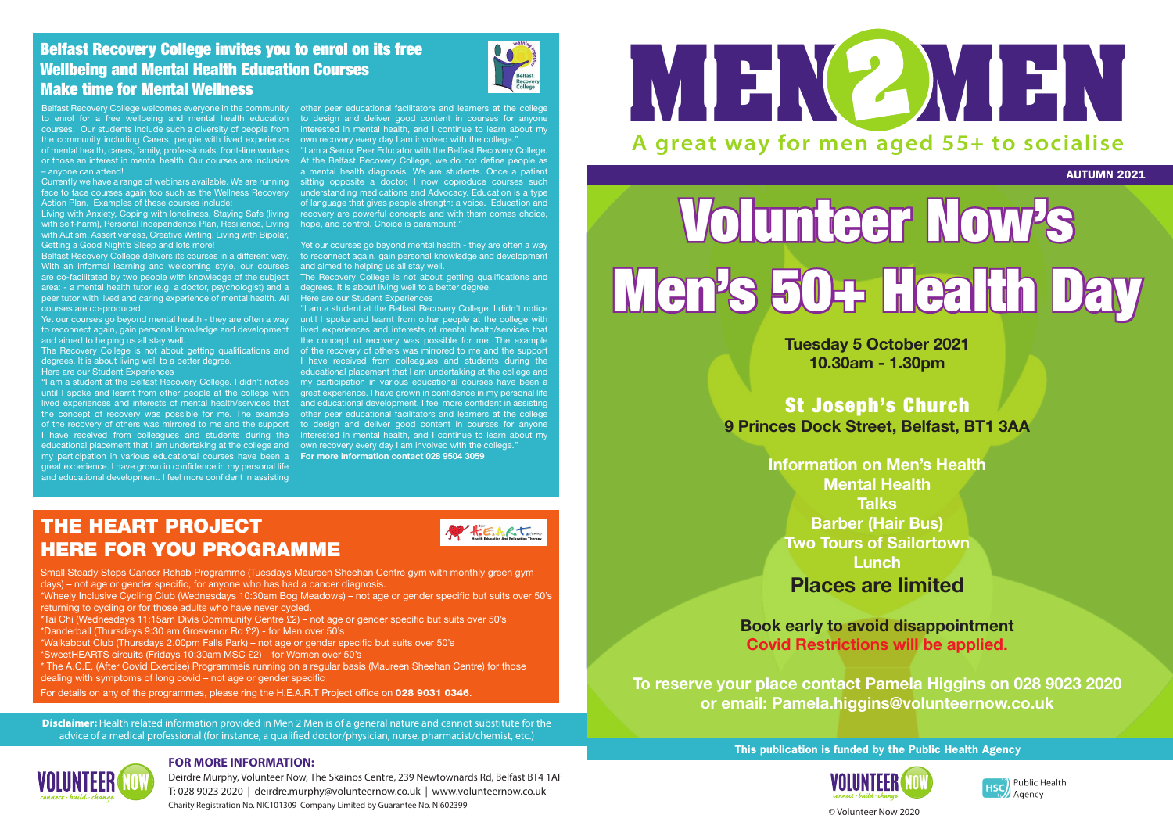AUTUMN 2021



Public Health Agency

This publication is funded by the Public Health Agency



**Disclaimer:** Health related information provided in Men 2 Men is of a general nature and cannot substitute for the advice of a medical professional (for instance, a qualified doctor/physician, nurse, pharmacist/chemist, etc.)



Deirdre Murphy, Volunteer Now, The Skainos Centre, 239 Newtownards Rd, Belfast BT4 1AF T: 028 9023 2020 | deirdre.murphy@volunteernow.co.uk | www.volunteernow.co.uk Charity Registration No. NIC101309 Company Limited by Guarantee No. NI602399 **Charity Registration No. NIC101309 Company Limited by Guarantee No. NI602399 Charity Registration No. NIC101309 Company Limited by Guarantee N** 



## **FOR MORE INFORMATION:**

# Volunteer Now's Men's 50+ Health Day

**Tuesday 5 October 2021 10.30am - 1.30pm**

St Joseph's Church **9 Princes Dock Street, Belfast, BT1 3AA**

> **Information on Men's Health Mental Health Talks Barber (Hair Bus) Two Tours of Sailortown Lunch Places are limited**

## **Book early to avoid disappointment Covid Restrictions will be applied.**

**To reserve your place contact Pamela Higgins on 028 9023 2020 or email: Pamela.higgins@volunteernow.co.uk**

Belfast Recovery College welcomes everyone in the community other peer educational facilitators and learners at the college to enrol for a free wellbeing and mental health education to design and deliver good content in courses for anyone courses. Our students include such a diversity of people from interested in mental health, and I continue to learn about my the community including Carers, people with lived experience of mental health, carers, family, professionals, front-line workers or those an interest in mental health. Our courses are inclusive – anyone can attend!

Currently we have a range of webinars available. We are running face to face courses again too such as the Wellness Recovery Action Plan. Examples of these courses include:

with self-harm), Personal Independence Plan, Resilience, Living with Autism, Assertiveness, Creative Writing, Living with Bipolar, Getting a Good Night's Sleep and lots more!

Living with Anxiety, Coping with loneliness, Staying Safe (living vecovery are powerful concepts and with them comes choice, "I am a Senior Peer Educator with the Belfast Recovery College. At the Belfast Recovery College, we do not define people as a mental health diagnosis. We are students. Once a patient sitting opposite a doctor, I now coproduce courses such understanding medications and Advocacy. Education is a type of language that gives people strength: a voice. Education and hope, and control. Choice is paramount."

> Yet our courses go beyond mental health - they are often a way to reconnect again, gain personal knowledge and development and aimed to helping us all stay well.

Belfast Recovery College delivers its courses in a different way. With an informal learning and welcoming style, our courses are co-facilitated by two people with knowledge of the subject area: - a mental health tutor (e.g. a doctor, psychologist) and a peer tutor with lived and caring experience of mental health. All courses are co-produced.

and aimed to helping us all stay well.

Yet our courses go beyond mental health - they are often a way until I spoke and learnt from other people at the college with to reconnect again, gain personal knowledge and development lived experiences and interests of mental health/services that The Recovery College is not about getting qualifications and of the recovery of others was mirrored to me and the support "I am a student at the Belfast Recovery College. I didn't notice my participation in various educational courses have been a the concept of recovery was possible for me. The example other peer educational facilitators and learners at the college of the recovery of others was mirrored to me and the support to design and deliver good content in courses for anyone I have received from colleagues and students during the interested in mental health, and I continue to learn about my "I am a student at the Belfast Recovery College. I didn't notice the concept of recovery was possible for me. The example I have received from colleagues and students during the educational placement that I am undertaking at the college and great experience. I have grown in confidence in my personal life and educational development. I feel more confident in assisting



degrees. It is about living well to a better degree.

Here are our Student Experiences

until I spoke and learnt from other people at the college with lived experiences and interests of mental health/services that educational placement that I am undertaking at the college and cown recovery every day I am involved with the college." my participation in various educational courses have been a **For more information contact 028 9504 3059** great experience. I have grown in confidence in my personal life and educational development. I feel more confident in assisting

own recovery every day I am involved with the college."

The Recovery College is not about getting qualifications and degrees. It is about living well to a better degree. Here are our Student Experiences

## Belfast Recovery College invites you to enrol on its free Wellbeing and Mental Health Education Courses Make time for Mental Wellness



## THE HEART PROJECT HERE FOR YOU PROGRAMME



Small Steady Steps Cancer Rehab Programme (Tuesdays Maureen Sheehan Centre gym with monthly green gym days) – not age or gender specific, for anyone who has had a cancer diagnosis.

\*Wheely Inclusive Cycling Club (Wednesdays 10:30am Bog Meadows) – not age or gender specific but suits over 50's returning to cycling or for those adults who have never cycled.

\*Tai Chi (Wednesdays 11:15am Divis Community Centre £2) – not age or gender specific but suits over 50's

\*Danderball (Thursdays 9:30 am Grosvenor Rd £2) - for Men over 50's

\*Walkabout Club (Thursdays 2.00pm Falls Park) – not age or gender specific but suits over 50's

\*SweetHEARTS circuits (Fridays 10:30am MSC £2) – for Women over 50's

\* The A.C.E. (After Covid Exercise) Programmeis running on a regular basis (Maureen Sheehan Centre) for those dealing with symptoms of long covid – not age or gender specific

For details on any of the programmes, please ring the H.E.A.R.T Project office on 028 9031 0346.